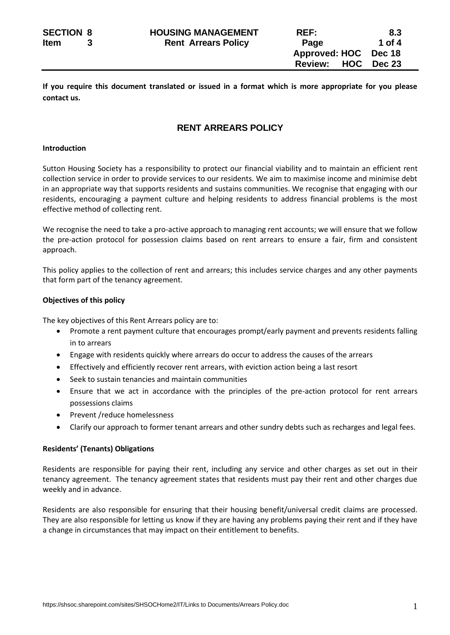**If you require this document translated or issued in a format which is more appropriate for you please contact us.**

# **RENT ARREARS POLICY**

#### **Introduction**

Sutton Housing Society has a responsibility to protect our financial viability and to maintain an efficient rent collection service in order to provide services to our residents. We aim to maximise income and minimise debt in an appropriate way that supports residents and sustains communities. We recognise that engaging with our residents, encouraging a payment culture and helping residents to address financial problems is the most effective method of collecting rent.

We recognise the need to take a pro-active approach to managing rent accounts; we will ensure that we follow the pre-action protocol for possession claims based on rent arrears to ensure a fair, firm and consistent approach.

This policy applies to the collection of rent and arrears; this includes service charges and any other payments that form part of the tenancy agreement.

# **Objectives of this policy**

The key objectives of this Rent Arrears policy are to:

- Promote a rent payment culture that encourages prompt/early payment and prevents residents falling in to arrears
- Engage with residents quickly where arrears do occur to address the causes of the arrears
- Effectively and efficiently recover rent arrears, with eviction action being a last resort
- Seek to sustain tenancies and maintain communities
- Ensure that we act in accordance with the principles of the pre-action protocol for rent arrears possessions claims
- Prevent /reduce homelessness
- Clarify our approach to former tenant arrears and other sundry debts such as recharges and legal fees.

# **Residents' (Tenants) Obligations**

Residents are responsible for paying their rent, including any service and other charges as set out in their tenancy agreement. The tenancy agreement states that residents must pay their rent and other charges due weekly and in advance.

Residents are also responsible for ensuring that their housing benefit/universal credit claims are processed. They are also responsible for letting us know if they are having any problems paying their rent and if they have a change in circumstances that may impact on their entitlement to benefits.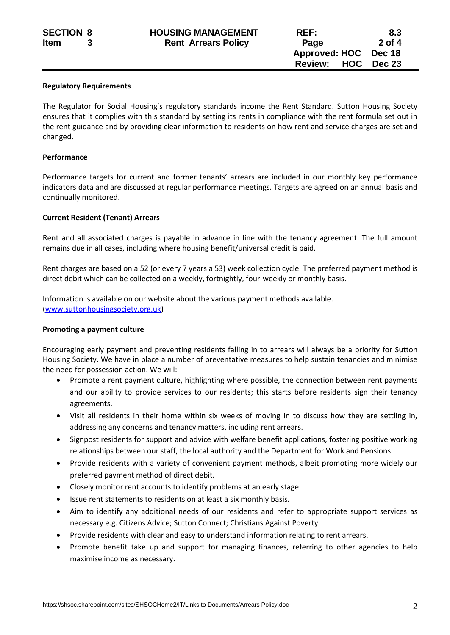#### **Regulatory Requirements**

The Regulator for Social Housing's regulatory standards income the Rent Standard. Sutton Housing Society ensures that it complies with this standard by setting its rents in compliance with the rent formula set out in the rent guidance and by providing clear information to residents on how rent and service charges are set and changed.

#### **Performance**

Performance targets for current and former tenants' arrears are included in our monthly key performance indicators data and are discussed at regular performance meetings. Targets are agreed on an annual basis and continually monitored.

#### **Current Resident (Tenant) Arrears**

Rent and all associated charges is payable in advance in line with the tenancy agreement. The full amount remains due in all cases, including where housing benefit/universal credit is paid.

Rent charges are based on a 52 (or every 7 years a 53) week collection cycle. The preferred payment method is direct debit which can be collected on a weekly, fortnightly, four-weekly or monthly basis.

Information is available on our website about the various payment methods available. [\(www.suttonhousingsociety.org.uk\)](http://www.suttonhousingsociety.org.uk/)

#### **Promoting a payment culture**

Encouraging early payment and preventing residents falling in to arrears will always be a priority for Sutton Housing Society. We have in place a number of preventative measures to help sustain tenancies and minimise the need for possession action. We will:

- Promote a rent payment culture, highlighting where possible, the connection between rent payments and our ability to provide services to our residents; this starts before residents sign their tenancy agreements.
- Visit all residents in their home within six weeks of moving in to discuss how they are settling in, addressing any concerns and tenancy matters, including rent arrears.
- Signpost residents for support and advice with welfare benefit applications, fostering positive working relationships between our staff, the local authority and the Department for Work and Pensions.
- Provide residents with a variety of convenient payment methods, albeit promoting more widely our preferred payment method of direct debit.
- Closely monitor rent accounts to identify problems at an early stage.
- Issue rent statements to residents on at least a six monthly basis.
- Aim to identify any additional needs of our residents and refer to appropriate support services as necessary e.g. Citizens Advice; Sutton Connect; Christians Against Poverty.
- Provide residents with clear and easy to understand information relating to rent arrears.
- Promote benefit take up and support for managing finances, referring to other agencies to help maximise income as necessary.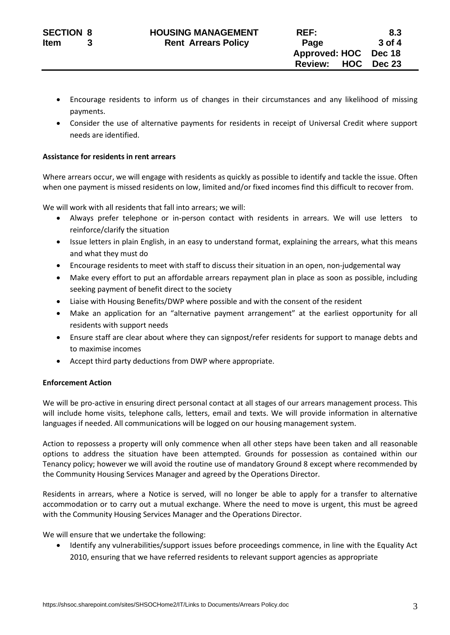- Encourage residents to inform us of changes in their circumstances and any likelihood of missing payments.
- Consider the use of alternative payments for residents in receipt of Universal Credit where support needs are identified.

# **Assistance for residents in rent arrears**

Where arrears occur, we will engage with residents as quickly as possible to identify and tackle the issue. Often when one payment is missed residents on low, limited and/or fixed incomes find this difficult to recover from.

We will work with all residents that fall into arrears; we will:

- Always prefer telephone or in-person contact with residents in arrears. We will use letters to reinforce/clarify the situation
- Issue letters in plain English, in an easy to understand format, explaining the arrears, what this means and what they must do
- Encourage residents to meet with staff to discuss their situation in an open, non-judgemental way
- Make every effort to put an affordable arrears repayment plan in place as soon as possible, including seeking payment of benefit direct to the society
- Liaise with Housing Benefits/DWP where possible and with the consent of the resident
- Make an application for an "alternative payment arrangement" at the earliest opportunity for all residents with support needs
- Ensure staff are clear about where they can signpost/refer residents for support to manage debts and to maximise incomes
- Accept third party deductions from DWP where appropriate.

# **Enforcement Action**

We will be pro-active in ensuring direct personal contact at all stages of our arrears management process. This will include home visits, telephone calls, letters, email and texts. We will provide information in alternative languages if needed. All communications will be logged on our housing management system.

Action to repossess a property will only commence when all other steps have been taken and all reasonable options to address the situation have been attempted. Grounds for possession as contained within our Tenancy policy; however we will avoid the routine use of mandatory Ground 8 except where recommended by the Community Housing Services Manager and agreed by the Operations Director.

Residents in arrears, where a Notice is served, will no longer be able to apply for a transfer to alternative accommodation or to carry out a mutual exchange. Where the need to move is urgent, this must be agreed with the Community Housing Services Manager and the Operations Director.

We will ensure that we undertake the following:

• Identify any vulnerabilities/support issues before proceedings commence, in line with the Equality Act 2010, ensuring that we have referred residents to relevant support agencies as appropriate